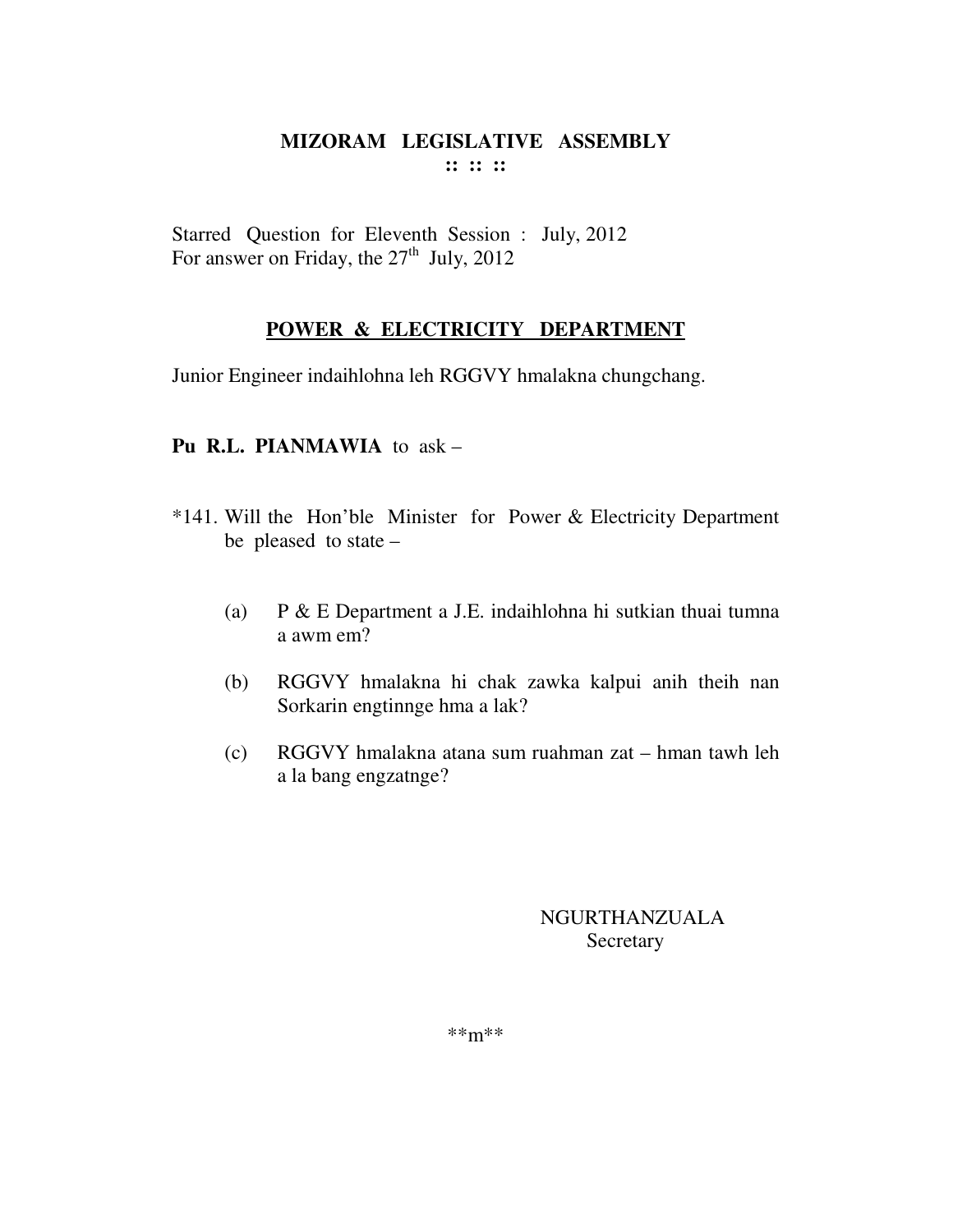Starred Question for Eleventh Session : July, 2012 For answer on Friday, the 27<sup>th</sup> July, 2012

## **POWER & ELECTRICITY DEPARTMENT**

Junior Engineer indaihlohna leh RGGVY hmalakna chungchang.

#### **Pu R.L. PIANMAWIA** to ask –

- \*141. Will the Hon'ble Minister for Power & Electricity Department be pleased to state –
	- (a) P & E Department a J.E. indaihlohna hi sutkian thuai tumna a awm em?
	- (b) RGGVY hmalakna hi chak zawka kalpui anih theih nan Sorkarin engtinnge hma a lak?
	- (c) RGGVY hmalakna atana sum ruahman zat hman tawh leh a la bang engzatnge?

## NGURTHANZUALA **Secretary**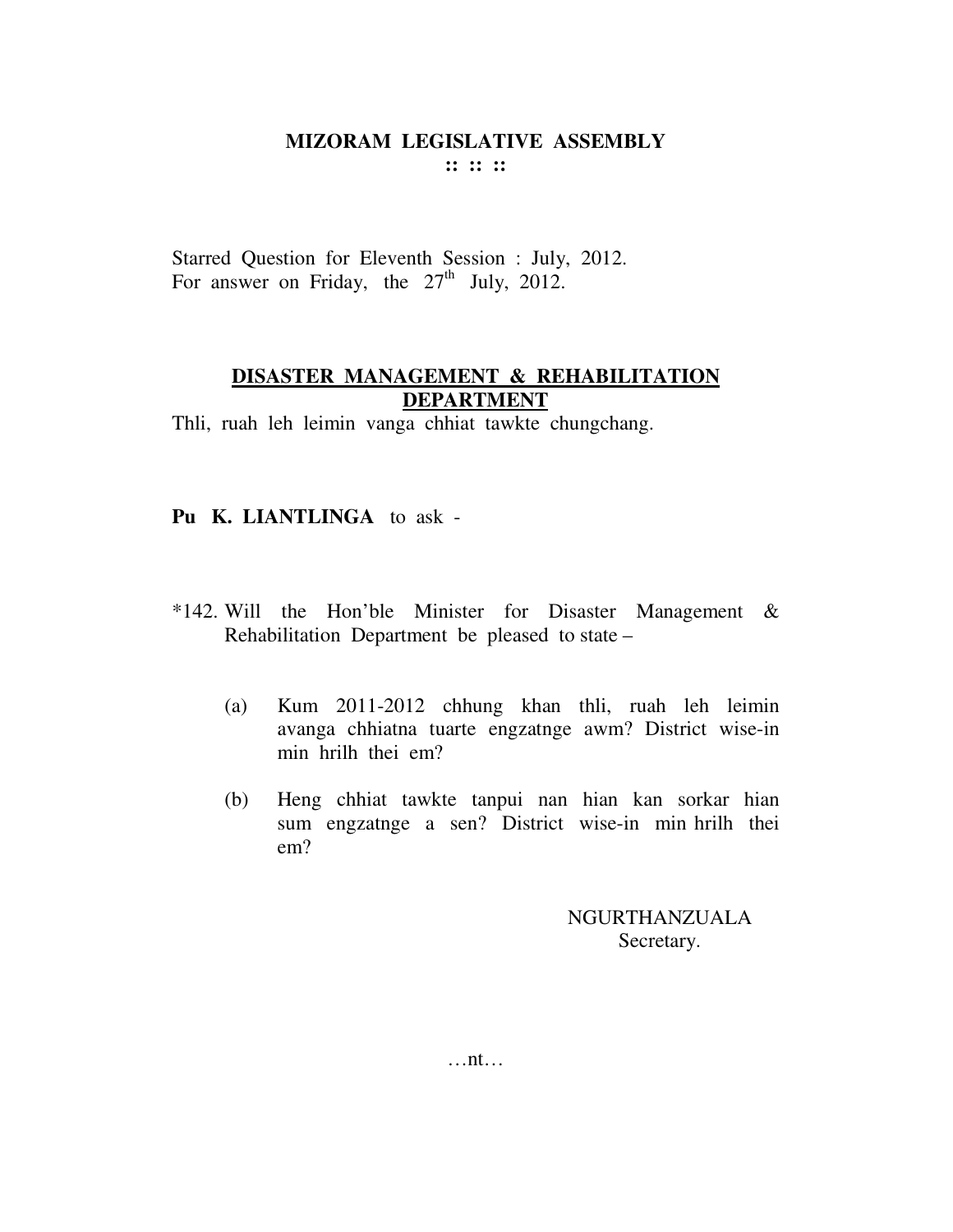Starred Question for Eleventh Session : July, 2012. For answer on Friday, the  $27<sup>th</sup>$  July, 2012.

## **DISASTER MANAGEMENT & REHABILITATION DEPARTMENT**

Thli, ruah leh leimin vanga chhiat tawkte chungchang.

## **Pu K. LIANTLINGA** to ask -

- \*142. Will the Hon'ble Minister for Disaster Management & Rehabilitation Department be pleased to state –
	- (a) Kum 2011-2012 chhung khan thli, ruah leh leimin avanga chhiatna tuarte engzatnge awm? District wise-in min hrilh thei em?
	- (b) Heng chhiat tawkte tanpui nan hian kan sorkar hian sum engzatnge a sen? District wise-in min hrilh thei em?

NGURTHANZUALA Secretary.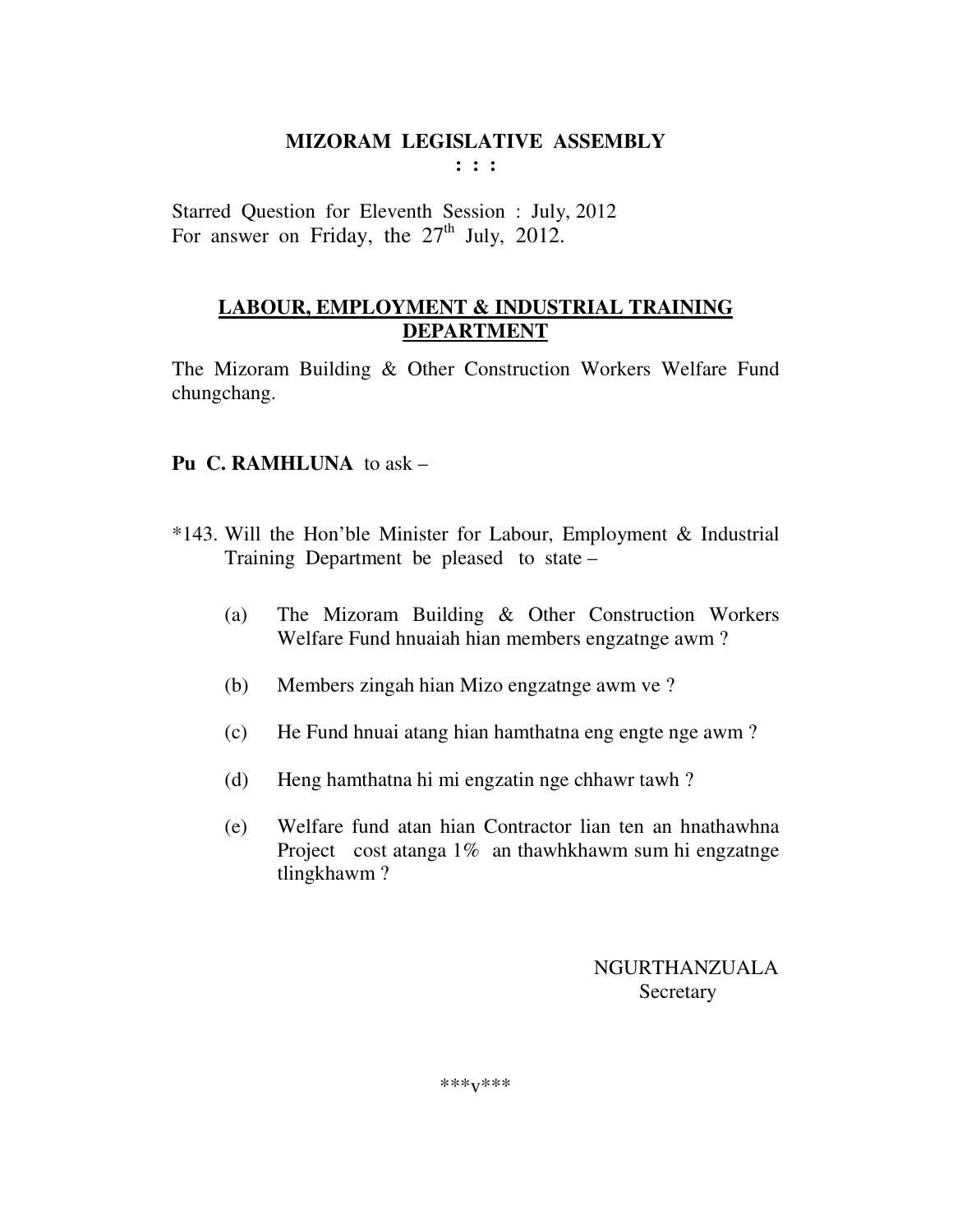**: : :** 

Starred Question for Eleventh Session : July, 2012 For answer on Friday, the  $27<sup>th</sup>$  July, 2012.

# **LABOUR, EMPLOYMENT & INDUSTRIAL TRAINING DEPARTMENT**

The Mizoram Building & Other Construction Workers Welfare Fund chungchang.

## **Pu C. RAMHLUNA** to ask –

- \*143. Will the Hon'ble Minister for Labour, Employment & Industrial Training Department be pleased to state –
	- (a) The Mizoram Building & Other Construction Workers Welfare Fund hnuaiah hian members engzatnge awm ?
	- (b) Members zingah hian Mizo engzatnge awm ve ?
	- (c) He Fund hnuai atang hian hamthatna eng engte nge awm ?
	- (d) Heng hamthatna hi mi engzatin nge chhawr tawh ?
	- (e) Welfare fund atan hian Contractor lian ten an hnathawhna Project cost atanga 1% an thawhkhawm sum hi engzatnge tlingkhawm ?

# NGURTHANZUALA Secretary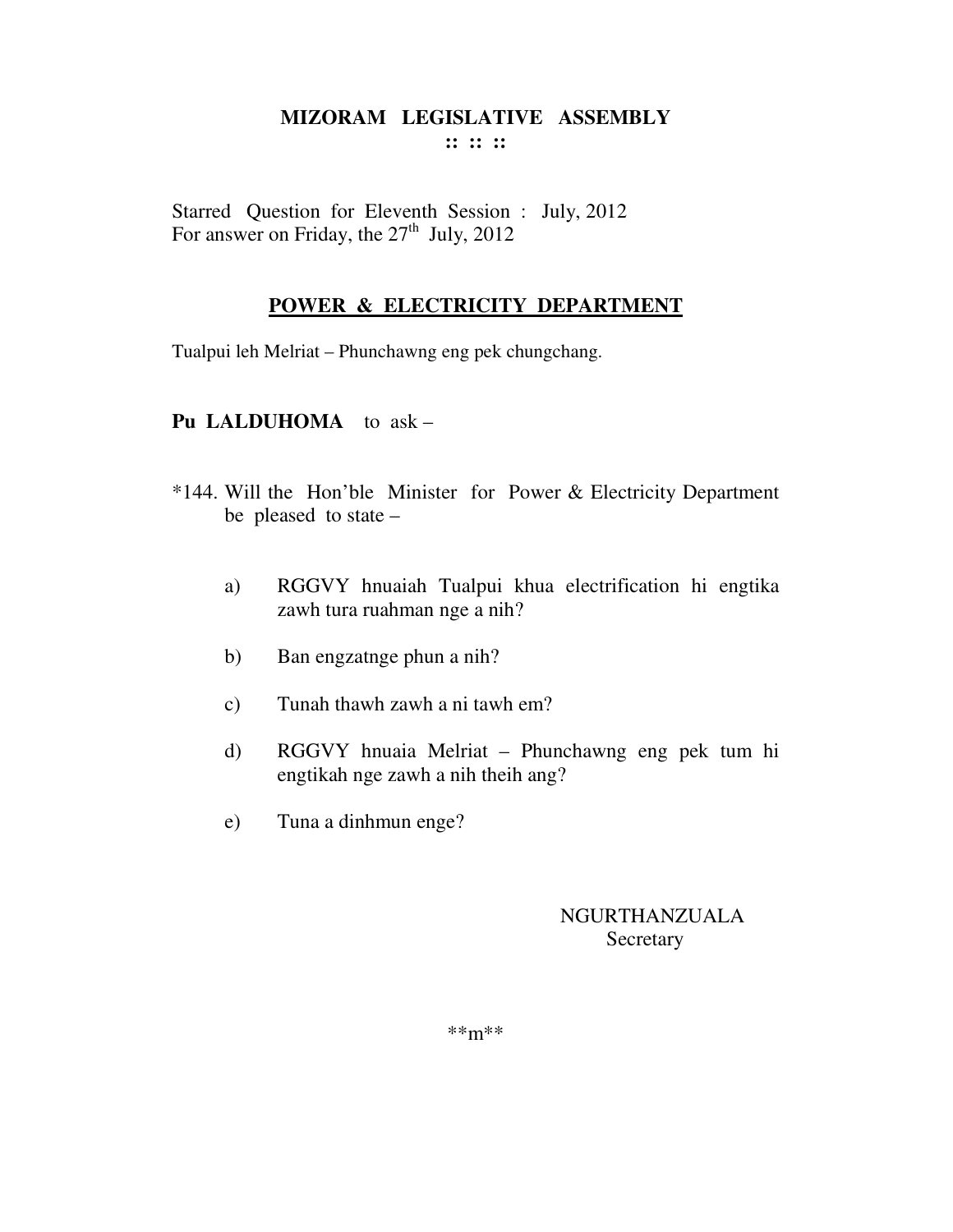Starred Question for Eleventh Session : July, 2012 For answer on Friday, the  $27<sup>th</sup>$  July, 2012

## **POWER & ELECTRICITY DEPARTMENT**

Tualpui leh Melriat – Phunchawng eng pek chungchang.

## **Pu LALDUHOMA** to ask –

- \*144. Will the Hon'ble Minister for Power & Electricity Department be pleased to state –
	- a) RGGVY hnuaiah Tualpui khua electrification hi engtika zawh tura ruahman nge a nih?
	- b) Ban engzatnge phun a nih?
	- c) Tunah thawh zawh a ni tawh em?
	- d) RGGVY hnuaia Melriat Phunchawng eng pek tum hi engtikah nge zawh a nih theih ang?
	- e) Tuna a dinhmun enge?

## NGURTHANZUALA Secretary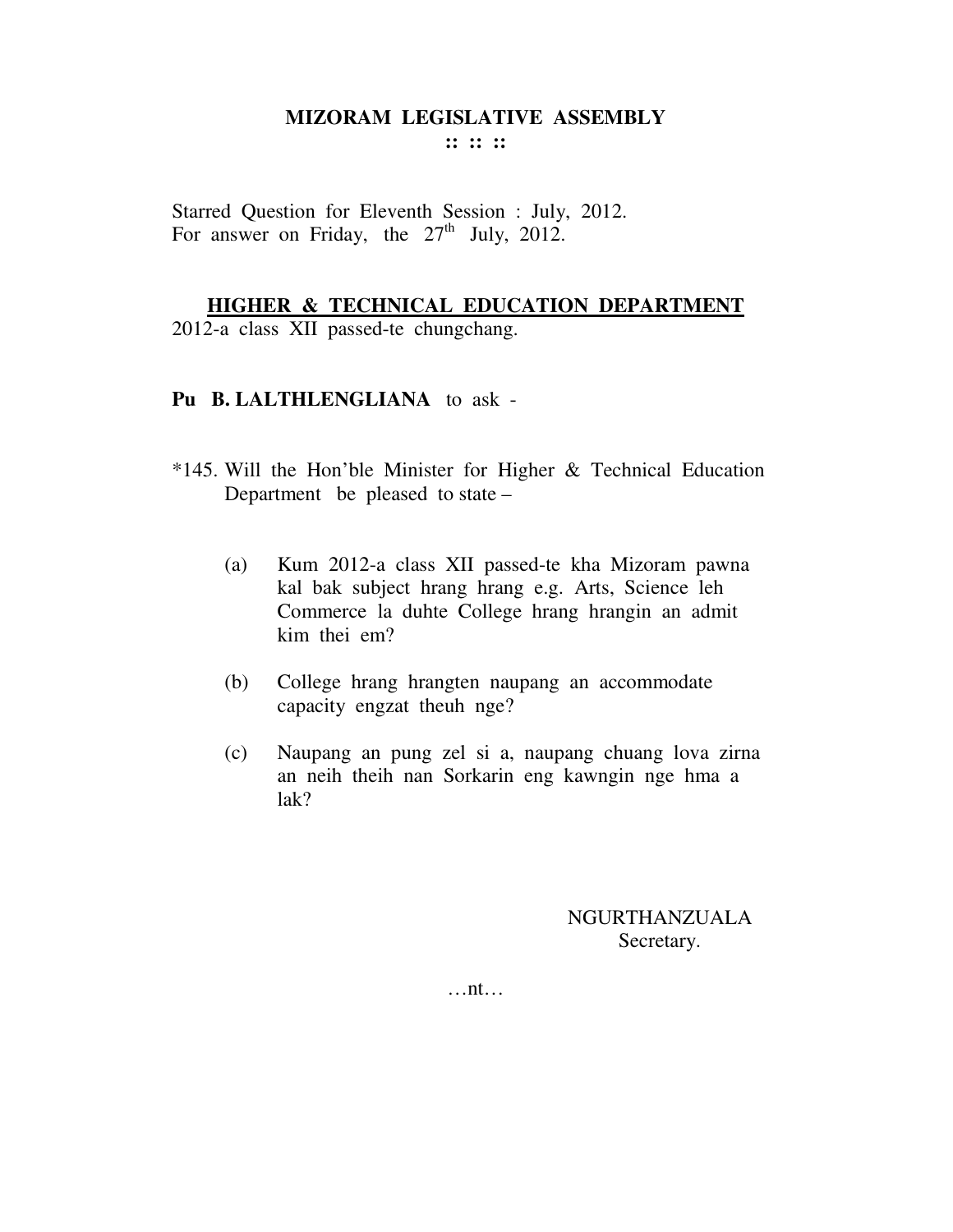**:: :: ::** 

Starred Question for Eleventh Session : July, 2012. For answer on Friday, the  $27<sup>th</sup>$  July, 2012.

#### **HIGHER & TECHNICAL EDUCATION DEPARTMENT**

2012-a class XII passed-te chungchang.

#### **Pu B. LALTHLENGLIANA** to ask -

- \*145. Will the Hon'ble Minister for Higher & Technical Education Department be pleased to state –
	- (a) Kum 2012-a class XII passed-te kha Mizoram pawna kal bak subject hrang hrang e.g. Arts, Science leh Commerce la duhte College hrang hrangin an admit kim thei em?
	- (b) College hrang hrangten naupang an accommodate capacity engzat theuh nge?
	- (c) Naupang an pung zel si a, naupang chuang lova zirna an neih theih nan Sorkarin eng kawngin nge hma a lak?

NGURTHANZUALA Secretary.

…nt…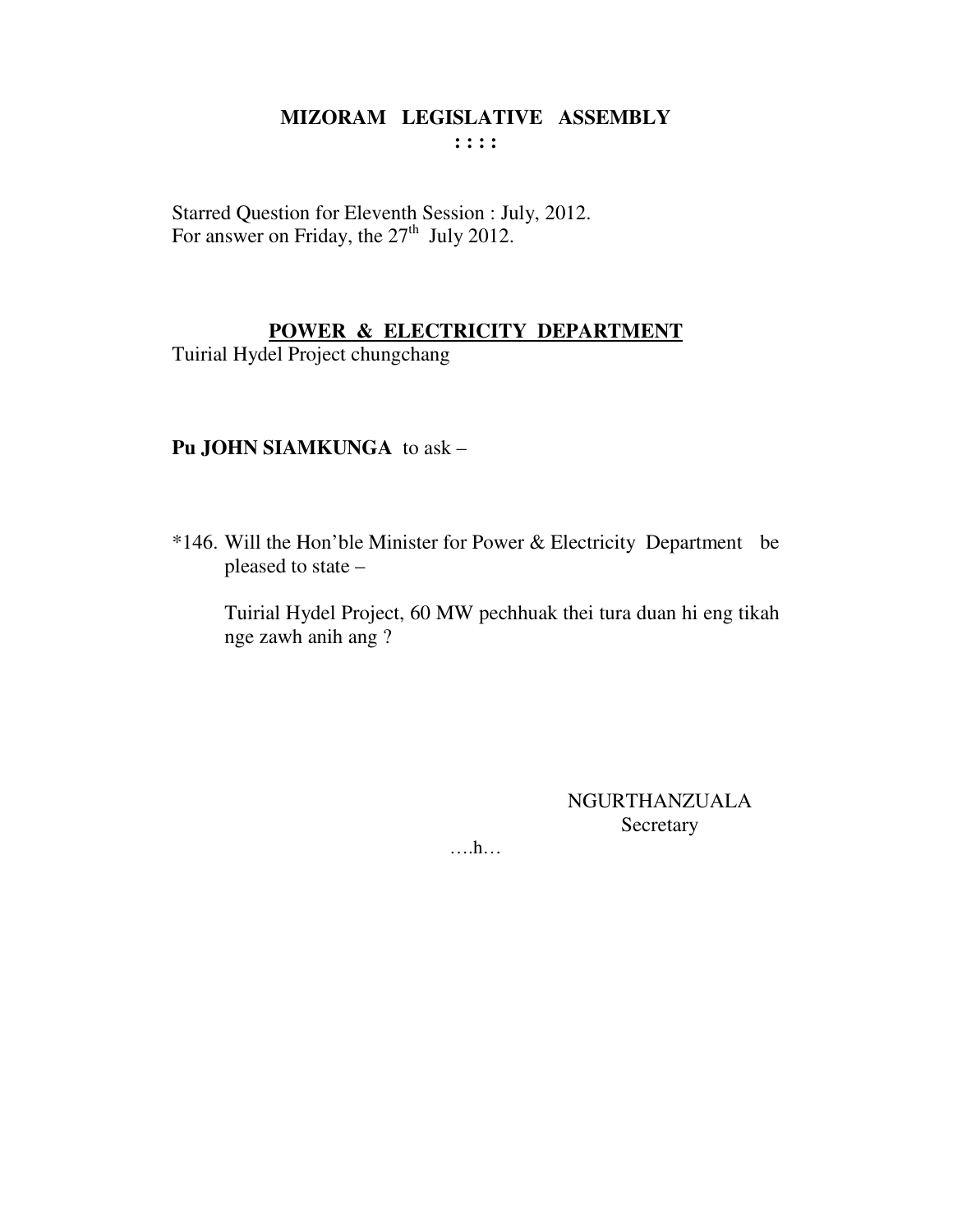Starred Question for Eleventh Session : July, 2012. For answer on Friday, the 27<sup>th</sup> July 2012.

## POWER & ELECTRICITY DEPARTMENT

Tuirial Hydel Project chungchang

# Pu JOHN SIAMKUNGA to ask -

\*146. Will the Hon'ble Minister for Power & Electricity Department be pleased to state -

Tuirial Hydel Project, 60 MW pechhuak thei tura duan hi eng tikah nge zawh anih ang ?

> NGURTHANZUALA Secretary

 $\dots$ ...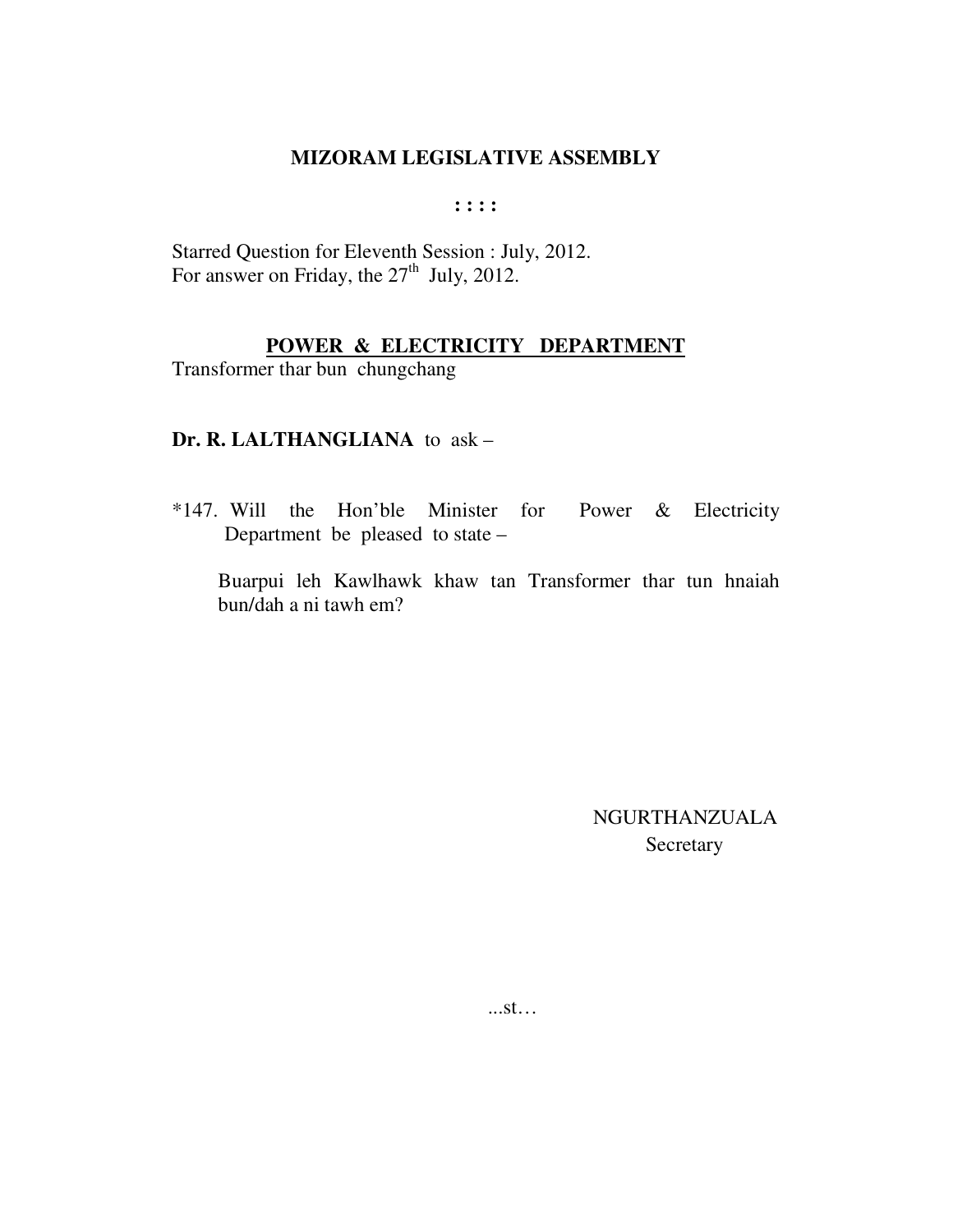**: : : :** 

Starred Question for Eleventh Session : July, 2012. For answer on Friday, the  $27<sup>th</sup>$  July, 2012.

# **POWER & ELECTRICITY DEPARTMENT**

Transformer thar bun chungchang

# **Dr. R. LALTHANGLIANA** to ask –

\*147. Will the Hon'ble Minister for Power & Electricity Department be pleased to state –

Buarpui leh Kawlhawk khaw tan Transformer thar tun hnaiah bun/dah a ni tawh em?

> NGURTHANZUALA Secretary

...st…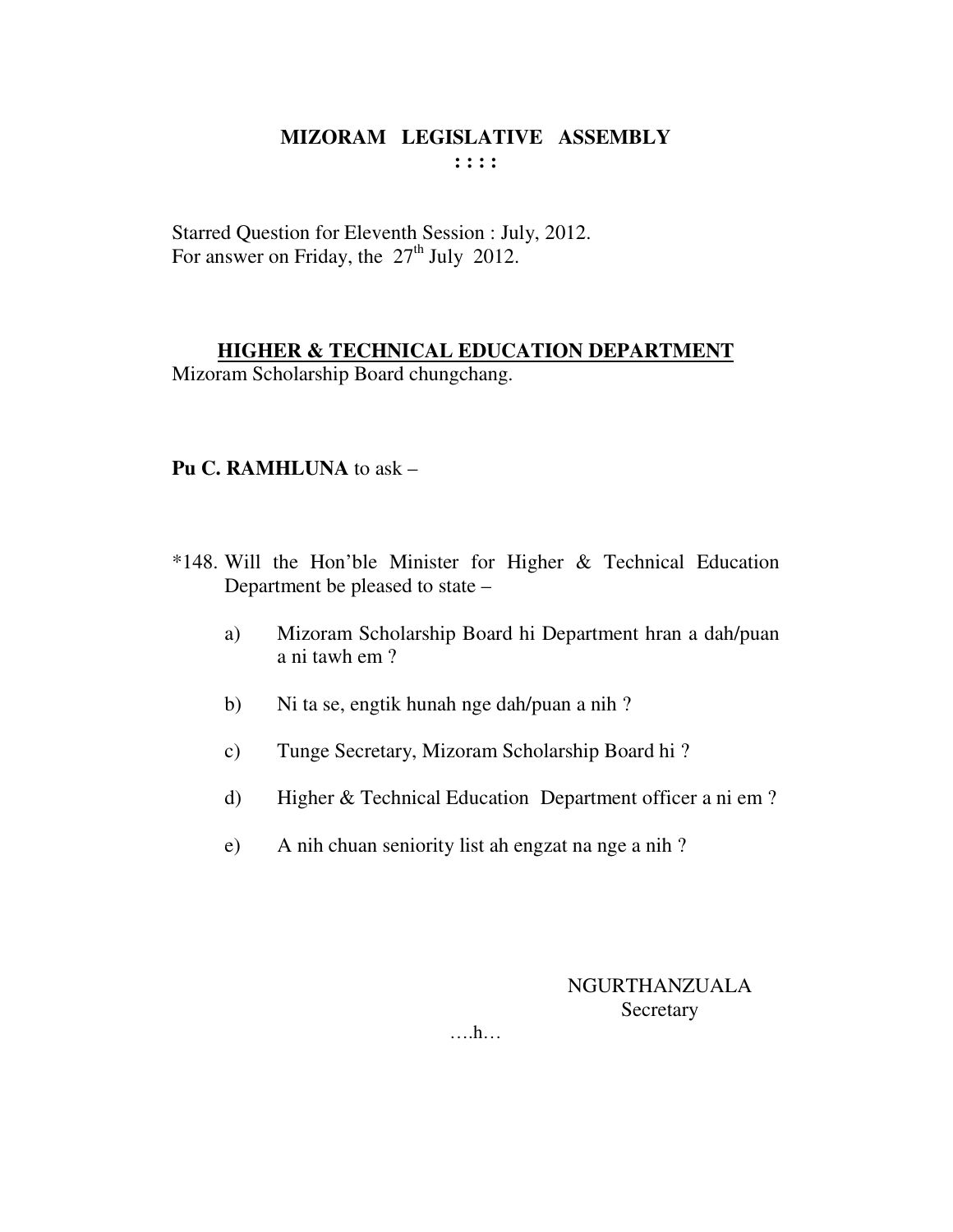Starred Question for Eleventh Session : July, 2012. For answer on Friday, the  $27<sup>th</sup>$  July 2012.

## **HIGHER & TECHNICAL EDUCATION DEPARTMENT**

Mizoram Scholarship Board chungchang.

## **Pu C. RAMHLUNA** to ask –

- \*148. Will the Hon'ble Minister for Higher & Technical Education Department be pleased to state –
	- a) Mizoram Scholarship Board hi Department hran a dah/puan a ni tawh em ?
	- b) Ni ta se, engtik hunah nge dah/puan a nih ?
	- c) Tunge Secretary, Mizoram Scholarship Board hi ?
	- d) Higher & Technical Education Department officer a ni em ?
	- e) A nih chuan seniority list ah engzat na nge a nih ?

NGURTHANZUALA **Secretary** 

….h…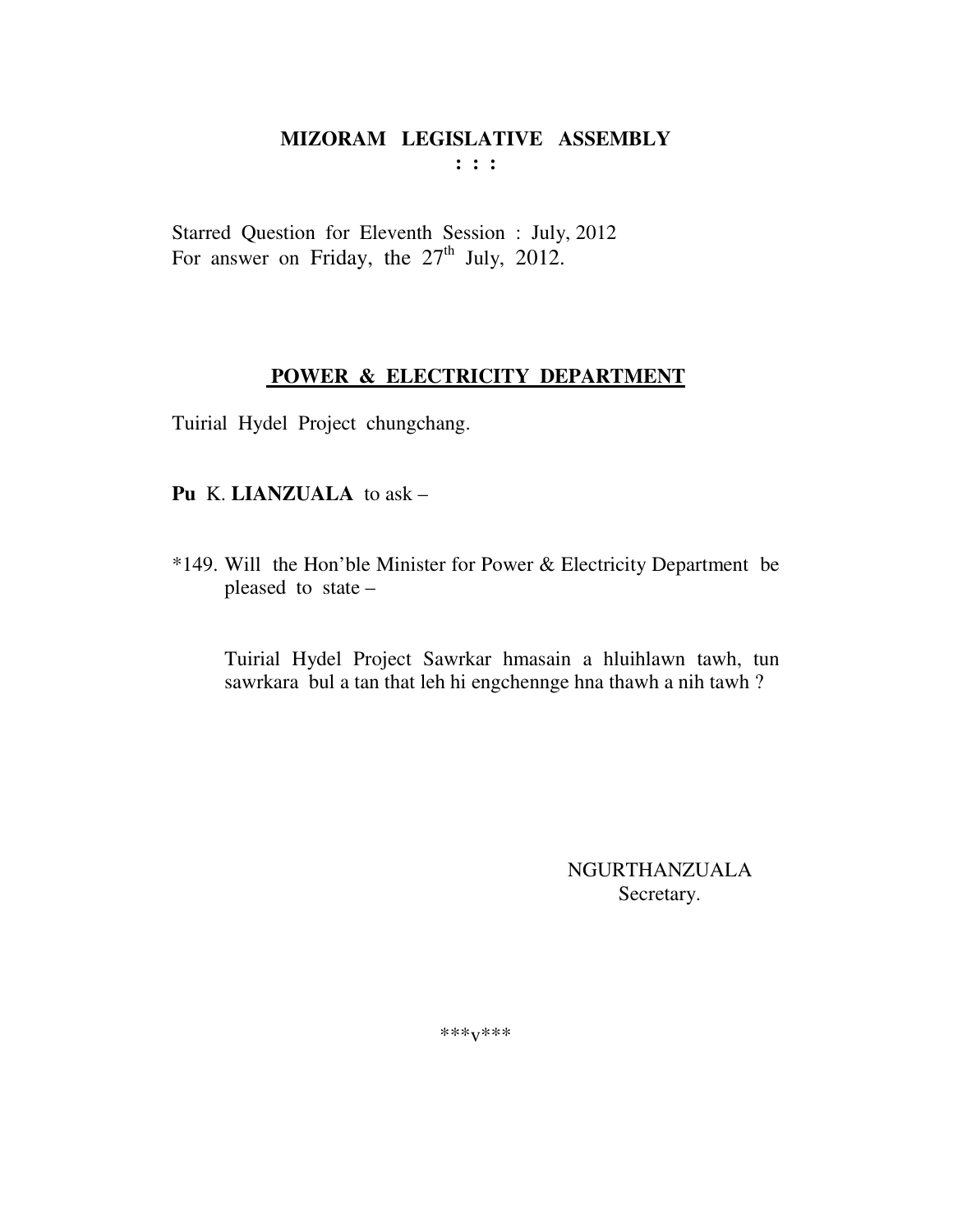Starred Question for Eleventh Session : July, 2012 For answer on Friday, the  $27<sup>th</sup>$  July, 2012.

## POWER & ELECTRICITY DEPARTMENT

Tuirial Hydel Project chungchang.

#### Pu K. LIANZUALA to ask -

\*149. Will the Hon'ble Minister for Power & Electricity Department be pleased to state -

Tuirial Hydel Project Sawrkar hmasain a hluihlawn tawh, tun sawrkara bul a tan that leh hi engchennge hna thawh a nih tawh?

> NGURTHANZUALA Secretary.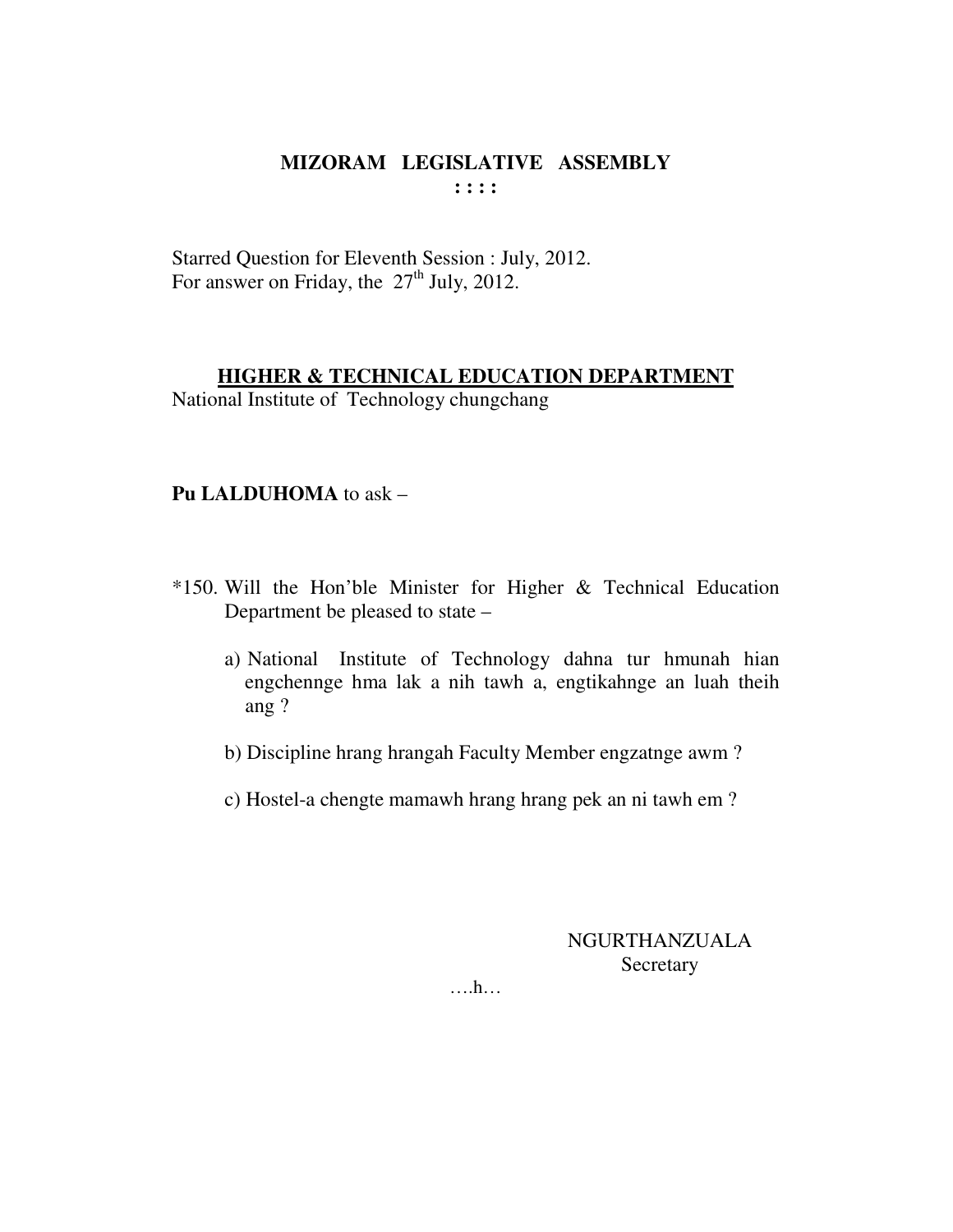Starred Question for Eleventh Session : July, 2012. For answer on Friday, the  $27<sup>th</sup>$  July, 2012.

#### **HIGHER & TECHNICAL EDUCATION DEPARTMENT**

National Institute of Technology chungchang

## **Pu LALDUHOMA** to ask –

- \*150. Will the Hon'ble Minister for Higher & Technical Education Department be pleased to state –
	- a) National Institute of Technology dahna tur hmunah hian engchennge hma lak a nih tawh a, engtikahnge an luah theih ang ?
	- b) Discipline hrang hrangah Faculty Member engzatnge awm ?
	- c) Hostel-a chengte mamawh hrang hrang pek an ni tawh em ?

NGURTHANZUALA Secretary

….h…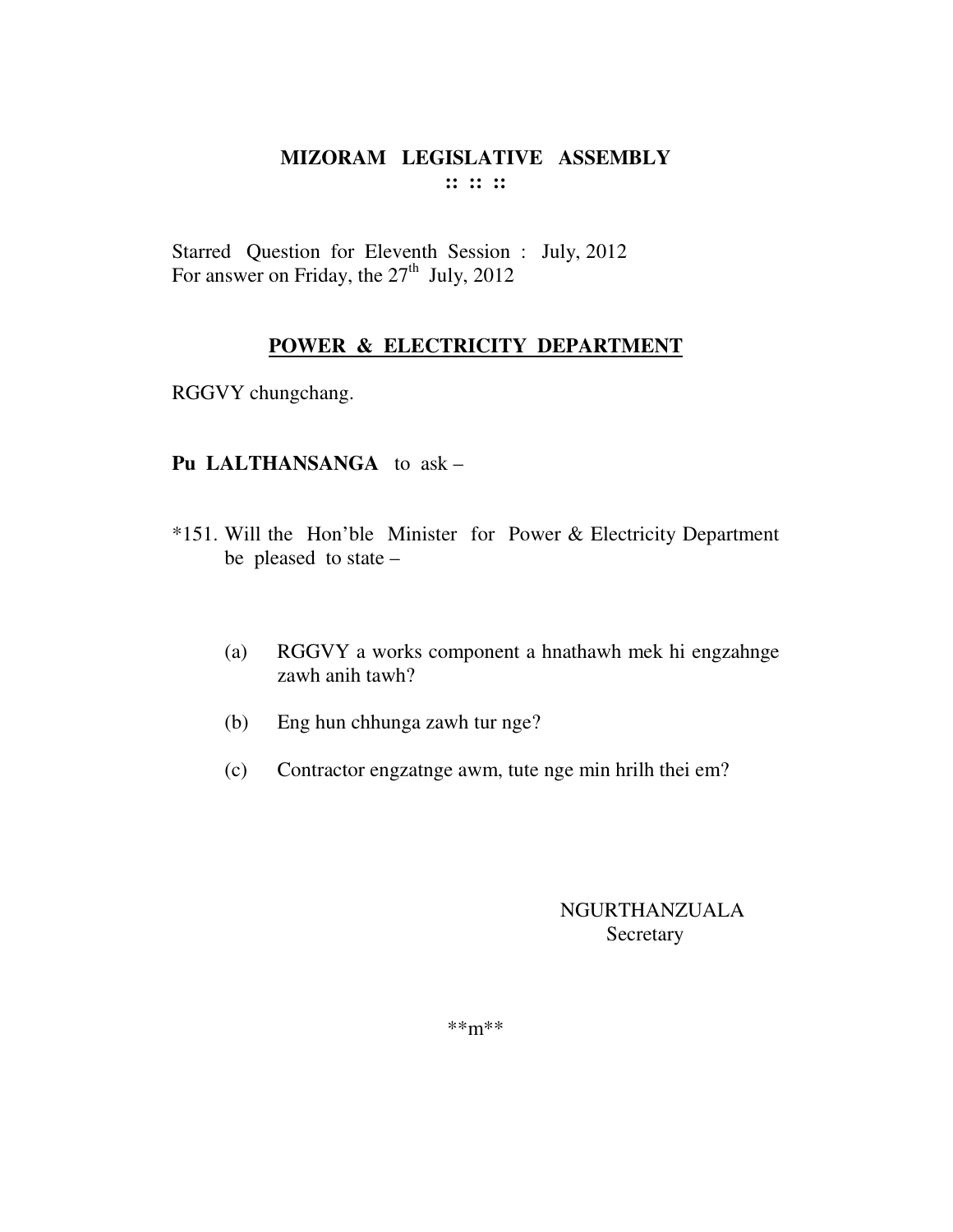#### MIZORAM LEGISLATIVE ASSEMBLY  $\mathbf{11} \mathbf{11} \mathbf{11}$

Starred Question for Eleventh Session : July, 2012<br>For answer on Friday, the 27<sup>th</sup> July, 2012

## POWER & ELECTRICITY DEPARTMENT

RGGVY chungchang.

## Pu LALTHANSANGA to ask -

- \*151. Will the Hon'ble Minister for Power & Electricity Department be pleased to state  $-$ 
	- RGGVY a works component a hnathawh mek hi engzahnge  $(a)$ zawh anih tawh?
	- Eng hun chhunga zawh tur nge?  $(b)$
	- Contractor engzatnge awm, tute nge min hrilh thei em?  $(c)$

## **NGURTHANZUALA** Secretary

 $***m***$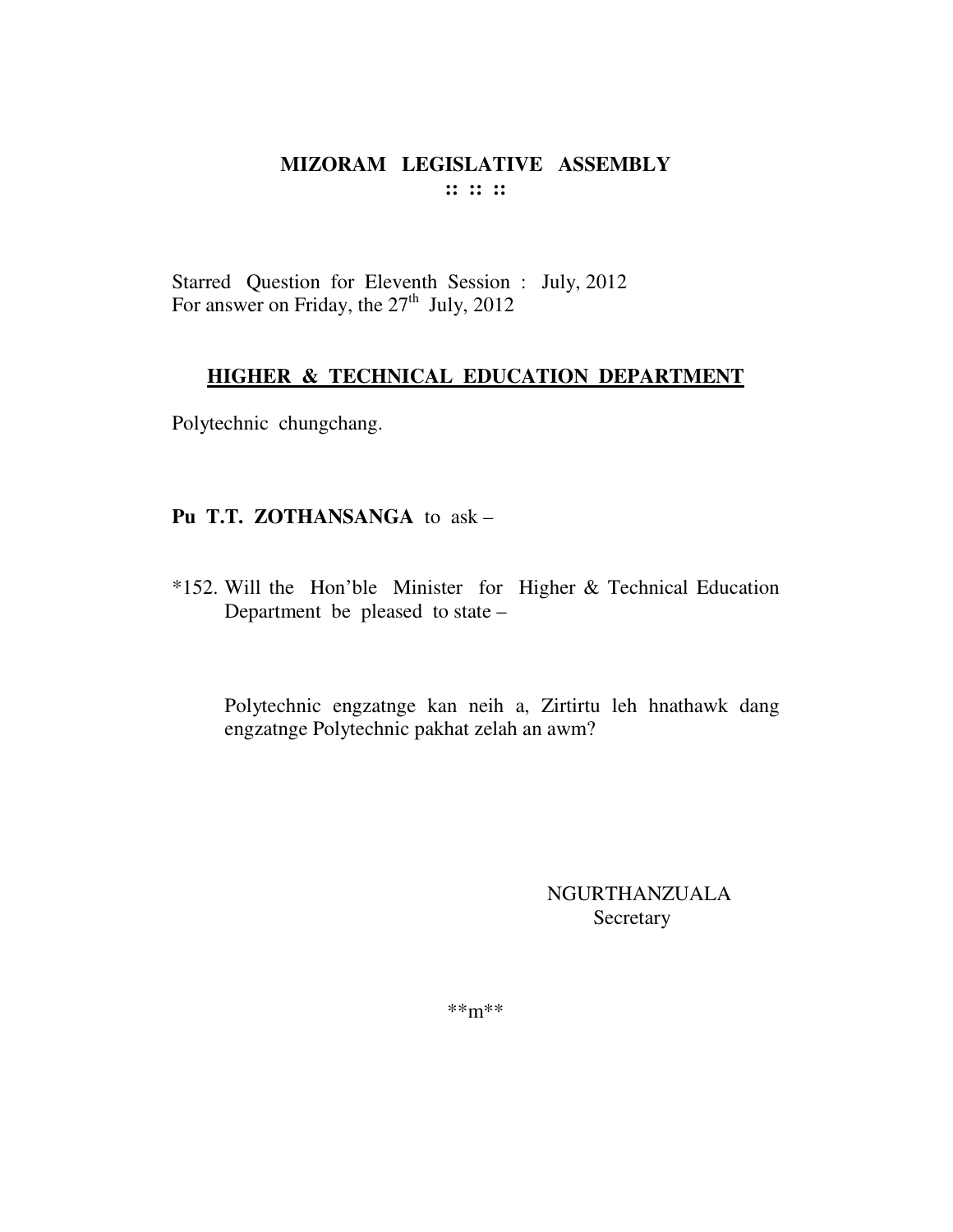Starred Question for Eleventh Session : July, 2012 For answer on Friday, the  $27<sup>th</sup>$  July, 2012

#### HIGHER & TECHNICAL EDUCATION DEPARTMENT

Polytechnic chungchang.

## Pu T.T. ZOTHANSANGA to ask -

\*152. Will the Hon'ble Minister for Higher & Technical Education Department be pleased to state -

Polytechnic engzatnge kan neih a, Zirtirtu leh hnathawk dang engzatnge Polytechnic pakhat zelah an awm?

> **NGURTHANZUALA** Secretary

 $***m***$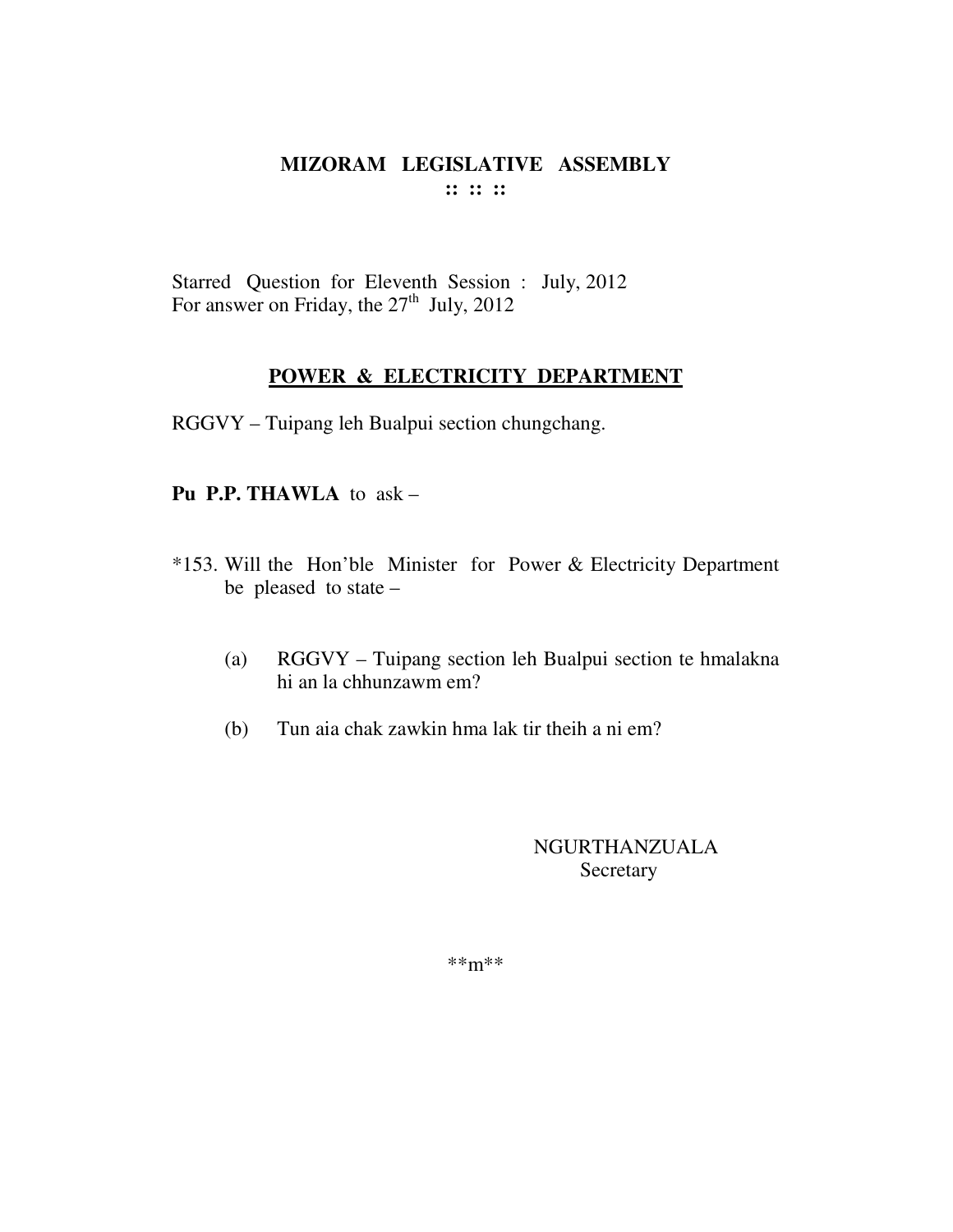Starred Question for Eleventh Session : July, 2012 For answer on Friday, the  $27<sup>th</sup>$  July, 2012

#### **POWER & ELECTRICITY DEPARTMENT**

RGGVY – Tuipang leh Bualpui section chungchang.

#### **Pu P.P. THAWLA** to ask –

- \*153. Will the Hon'ble Minister for Power & Electricity Department be pleased to state –
	- (a) RGGVY Tuipang section leh Bualpui section te hmalakna hi an la chhunzawm em?
	- (b) Tun aia chak zawkin hma lak tir theih a ni em?

## NGURTHANZUALA Secretary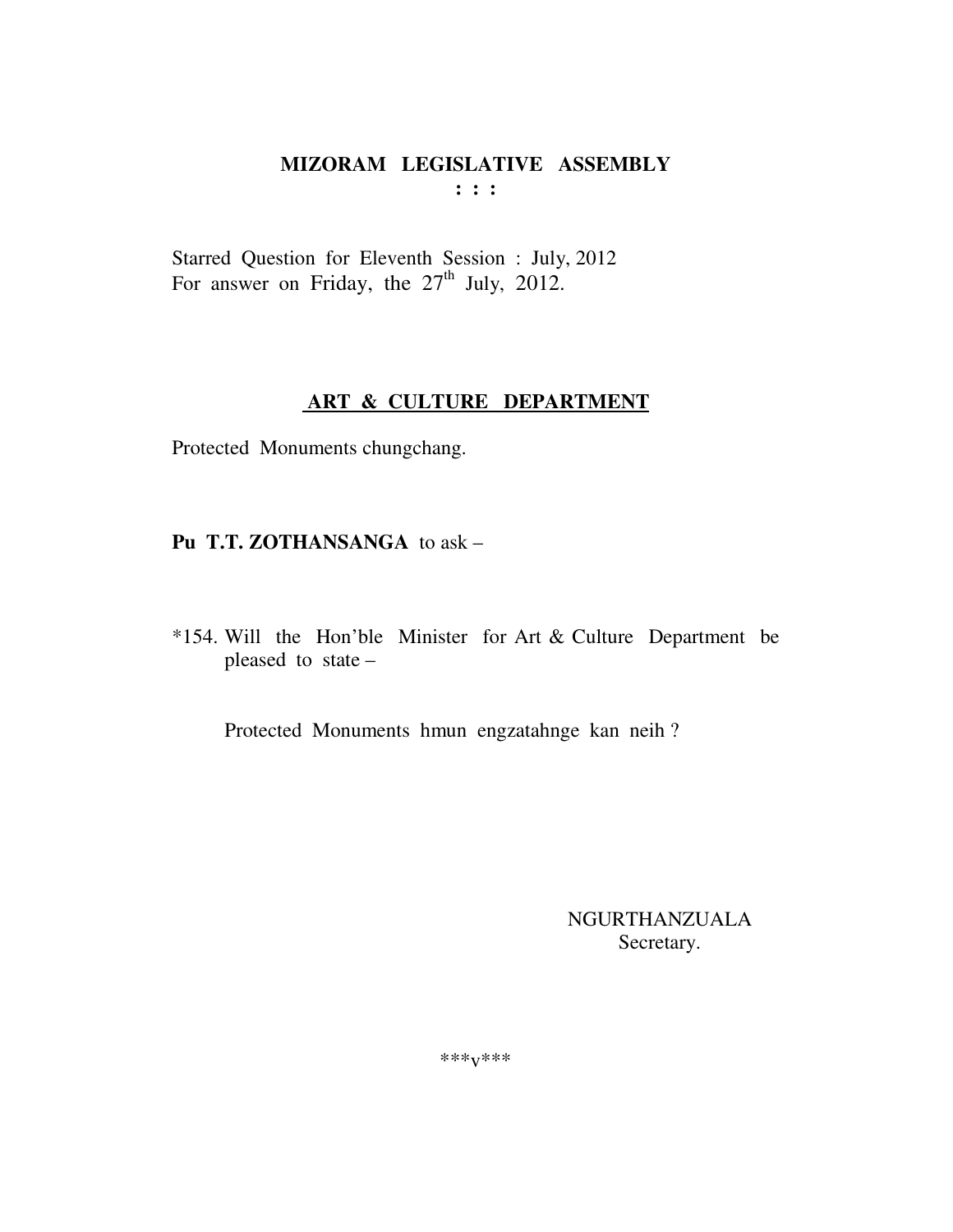Starred Question for Eleventh Session : July, 2012 For answer on Friday, the 27<sup>th</sup> July, 2012.

## ART & CULTURE DEPARTMENT

Protected Monuments chungchang.

# Pu T.T. ZOTHANSANGA to ask -

\*154. Will the Hon'ble Minister for Art & Culture Department be pleased to state -

Protected Monuments hmun engzatahnge kan neih?

**NGURTHANZUALA** Secretary.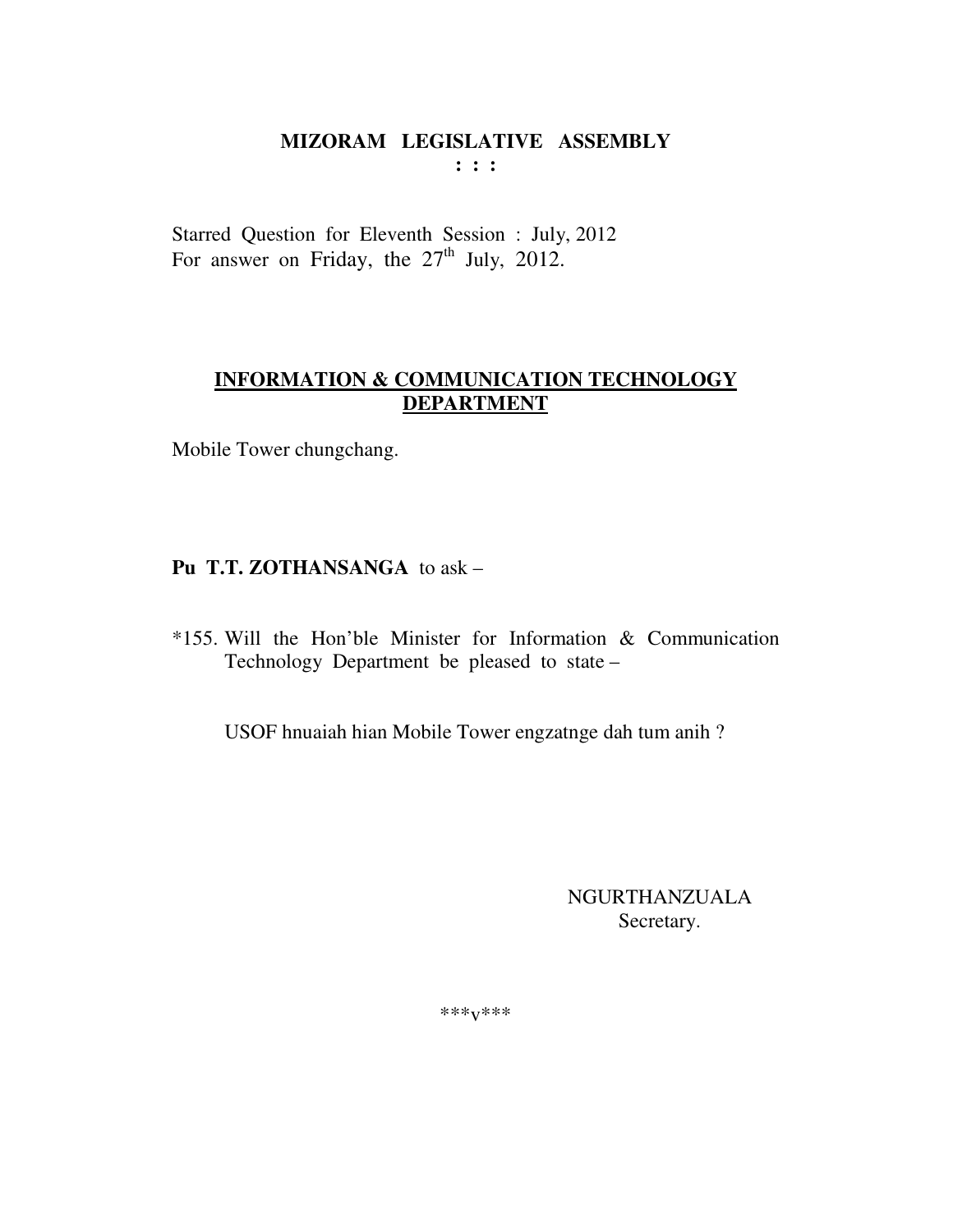Starred Question for Eleventh Session : July, 2012 For answer on Friday, the  $27<sup>th</sup>$  July, 2012.

# **INFORMATION & COMMUNICATION TECHNOLOGY DEPARTMENT**

Mobile Tower chungchang.

# Pu T.T. ZOTHANSANGA to ask -

\*155. Will the Hon'ble Minister for Information & Communication Technology Department be pleased to state -

USOF hnuaiah hian Mobile Tower engzatnge dah tum anih?

NGURTHANZUALA Secretary.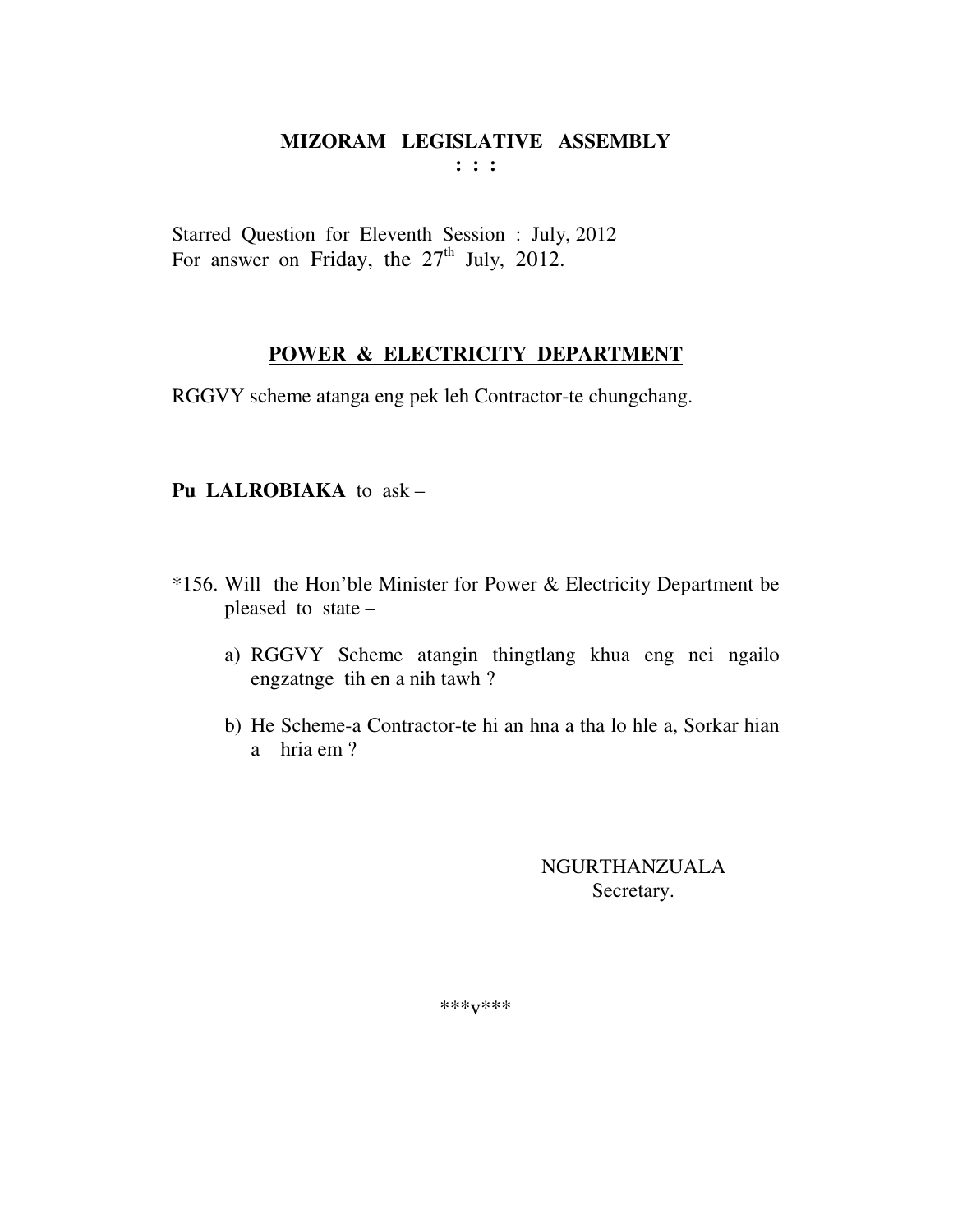Starred Question for Eleventh Session : July, 2012 For answer on Friday, the  $27<sup>th</sup>$  July, 2012.

#### POWER & ELECTRICITY DEPARTMENT

RGGVY scheme atanga eng pek leh Contractor-te chungchang.

#### Pu LALROBIAKA to ask -

- \*156. Will the Hon'ble Minister for Power & Electricity Department be pleased to state
	- a) RGGVY Scheme atangin thingtlang khua eng nei ngailo engzatnge tih en a nih tawh?
	- b) He Scheme-a Contractor-te hi an hna a tha lo hle a, Sorkar hian a hria em ?

**NGURTHANZUALA** Secretary.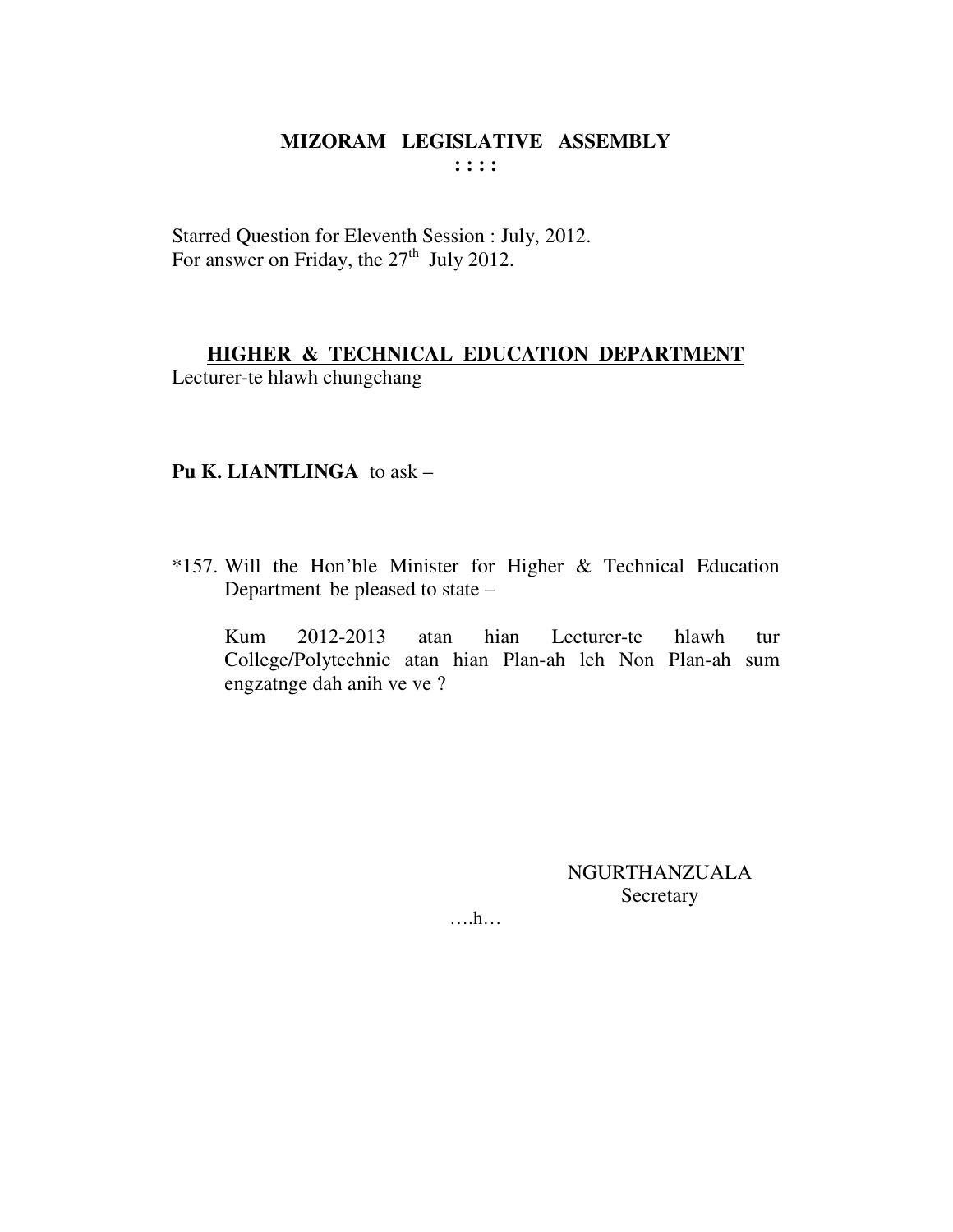Starred Question for Eleventh Session : July, 2012.<br>For answer on Friday, the 27<sup>th</sup> July 2012.

# HIGHER & TECHNICAL EDUCATION DEPARTMENT

Lecturer-te hlawh chungchang

## Pu K. LIANTLINGA to ask  $-$

\*157. Will the Hon'ble Minister for Higher & Technical Education Department be pleased to state –

2012-2013 Kum hian Lecturer-te hlawh atan  $_{\text{tur}}$ College/Polytechnic atan hian Plan-ah leh Non Plan-ah sum engzatnge dah anih ve ve ?

> **NGURTHANZUALA** Secretary

 $\dots$   $h$ ...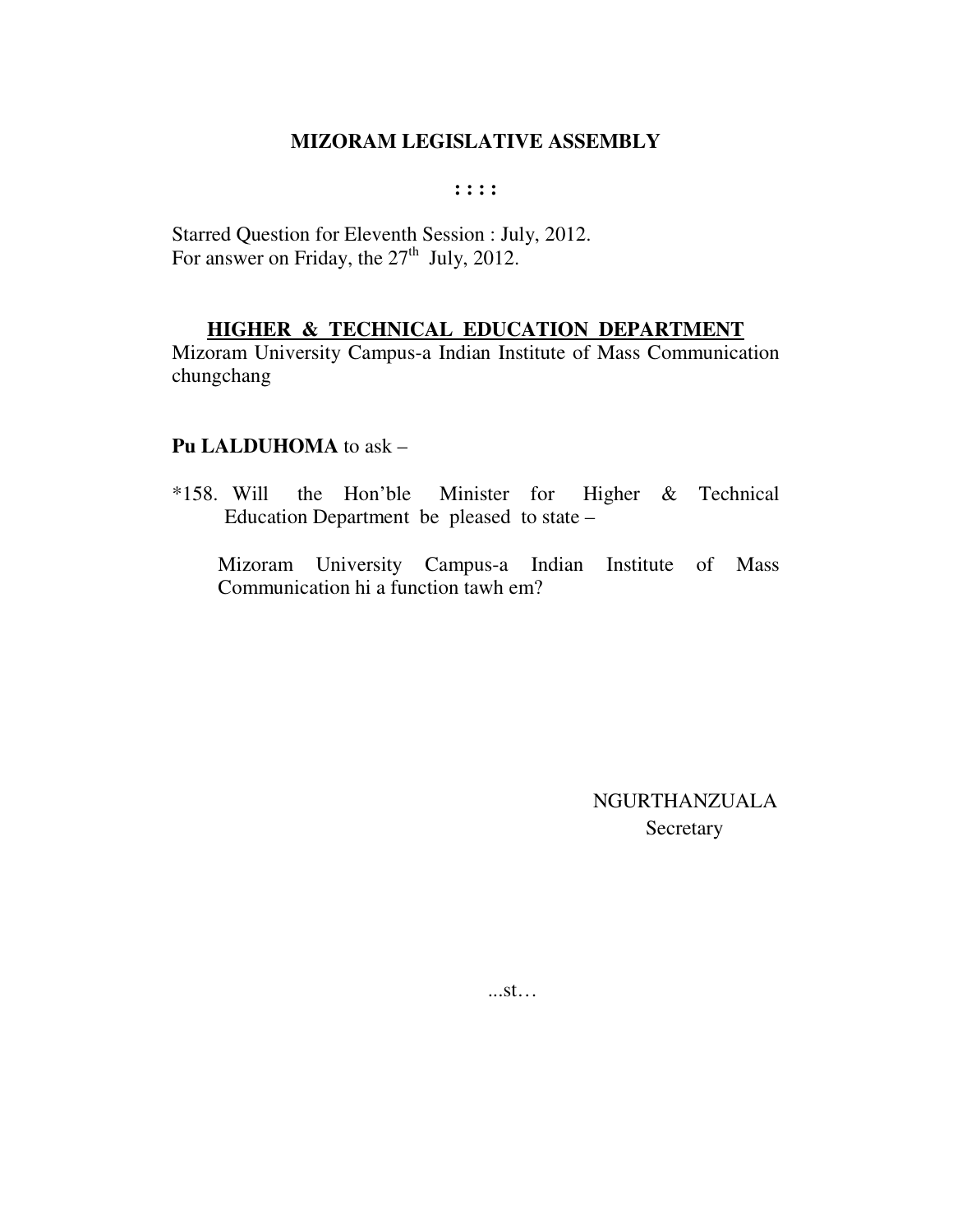#### $: : : :$

Starred Question for Eleventh Session : July, 2012. For answer on Friday, the  $27<sup>th</sup>$  July, 2012.

## HIGHER & TECHNICAL EDUCATION DEPARTMENT

Mizoram University Campus-a Indian Institute of Mass Communication chungchang

#### Pu LALDUHOMA to ask -

 $*158.$  Will the Hon'ble Minister for Higher & Technical Education Department be pleased to state –

Mizoram University Campus-a Indian Institute of Mass Communication hi a function tawh em?

> **NGURTHANZUALA** Secretary

 $...st...$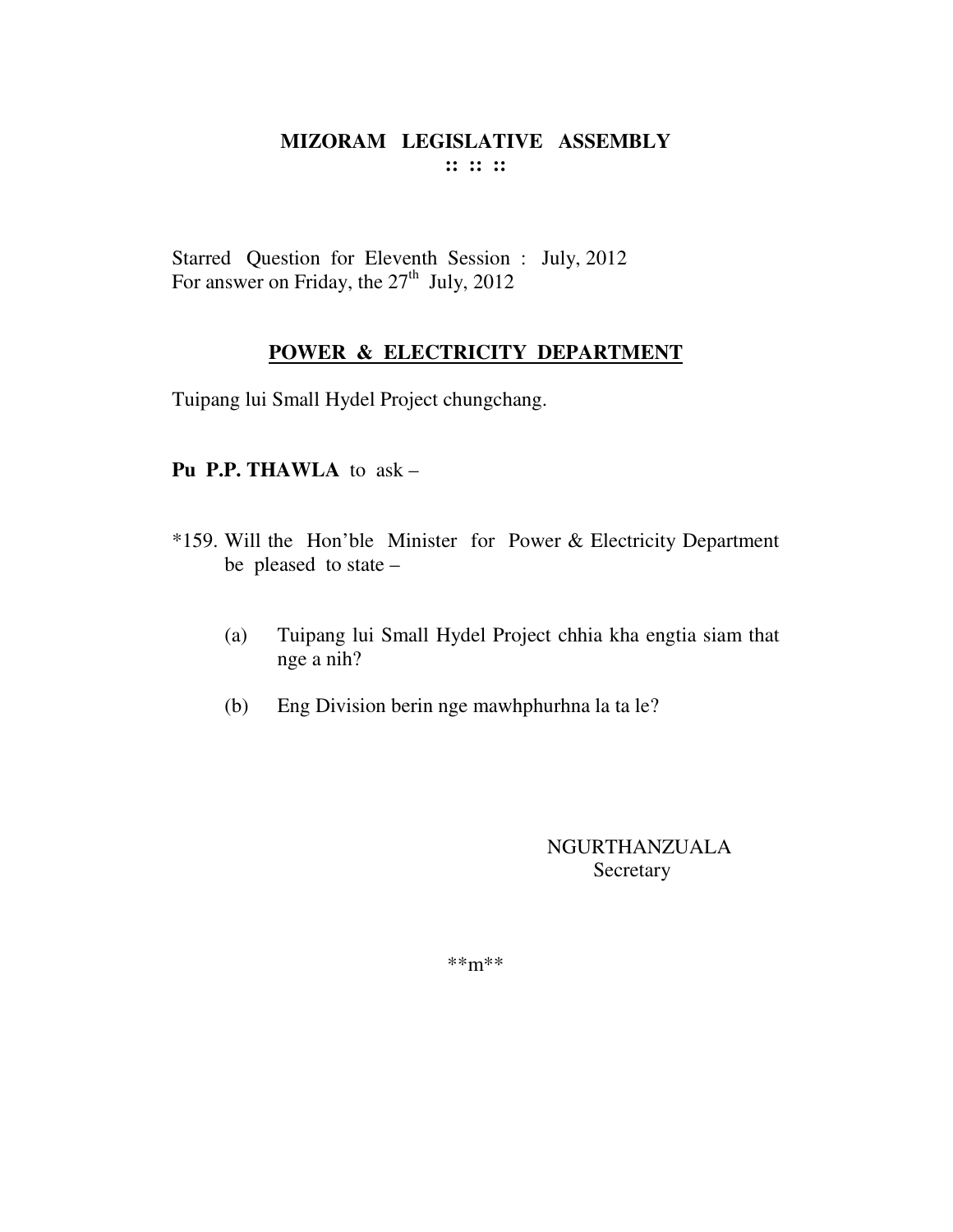Starred Question for Eleventh Session : July, 2012 For answer on Friday, the  $27<sup>th</sup>$  July, 2012

# **POWER & ELECTRICITY DEPARTMENT**

Tuipang lui Small Hydel Project chungchang.

## **Pu P.P. THAWLA** to ask –

- \*159. Will the Hon'ble Minister for Power & Electricity Department be pleased to state –
	- (a) Tuipang lui Small Hydel Project chhia kha engtia siam that nge a nih?
	- (b) Eng Division berin nge mawhphurhna la ta le?

NGURTHANZUALA Secretary